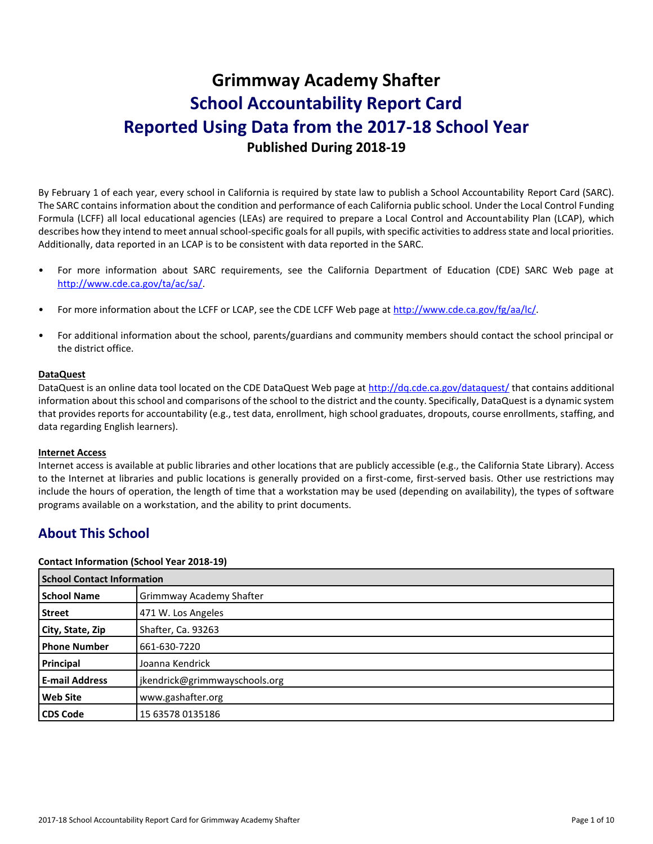# **Grimmway Academy Shafter School Accountability Report Card Reported Using Data from the 2017-18 School Year Published During 2018-19**

By February 1 of each year, every school in California is required by state law to publish a School Accountability Report Card (SARC). The SARC contains information about the condition and performance of each California public school. Under the Local Control Funding Formula (LCFF) all local educational agencies (LEAs) are required to prepare a Local Control and Accountability Plan (LCAP), which describes how they intend to meet annual school-specific goals for all pupils, with specific activities to address state and local priorities. Additionally, data reported in an LCAP is to be consistent with data reported in the SARC.

- For more information about SARC requirements, see the California Department of Education (CDE) SARC Web page at [http://www.cde.ca.gov/ta/ac/sa/.](http://www.cde.ca.gov/ta/ac/sa/)
- For more information about the LCFF or LCAP, see the CDE LCFF Web page at [http://www.cde.ca.gov/fg/aa/lc/.](http://www.cde.ca.gov/fg/aa/lc/)
- For additional information about the school, parents/guardians and community members should contact the school principal or the district office.

#### **DataQuest**

DataQuest is an online data tool located on the CDE DataQuest Web page a[t http://dq.cde.ca.gov/dataquest/](http://dq.cde.ca.gov/dataquest/) that contains additional information about this school and comparisons of the school to the district and the county. Specifically, DataQuest is a dynamic system that provides reports for accountability (e.g., test data, enrollment, high school graduates, dropouts, course enrollments, staffing, and data regarding English learners).

#### **Internet Access**

Internet access is available at public libraries and other locations that are publicly accessible (e.g., the California State Library). Access to the Internet at libraries and public locations is generally provided on a first-come, first-served basis. Other use restrictions may include the hours of operation, the length of time that a workstation may be used (depending on availability), the types of software programs available on a workstation, and the ability to print documents.

# **About This School**

#### **Contact Information (School Year 2018-19)**

| <b>School Contact Information</b> |                                 |
|-----------------------------------|---------------------------------|
| <b>School Name</b>                | <b>Grimmway Academy Shafter</b> |
| <b>Street</b>                     | 471 W. Los Angeles              |
| City, State, Zip                  | Shafter, Ca. 93263              |
| <b>Phone Number</b>               | 661-630-7220                    |
| Principal                         | Joanna Kendrick                 |
| <b>E-mail Address</b>             | jkendrick@grimmwayschools.org   |
| <b>Web Site</b>                   | www.gashafter.org               |
| <b>CDS Code</b>                   | 15 63578 0135186                |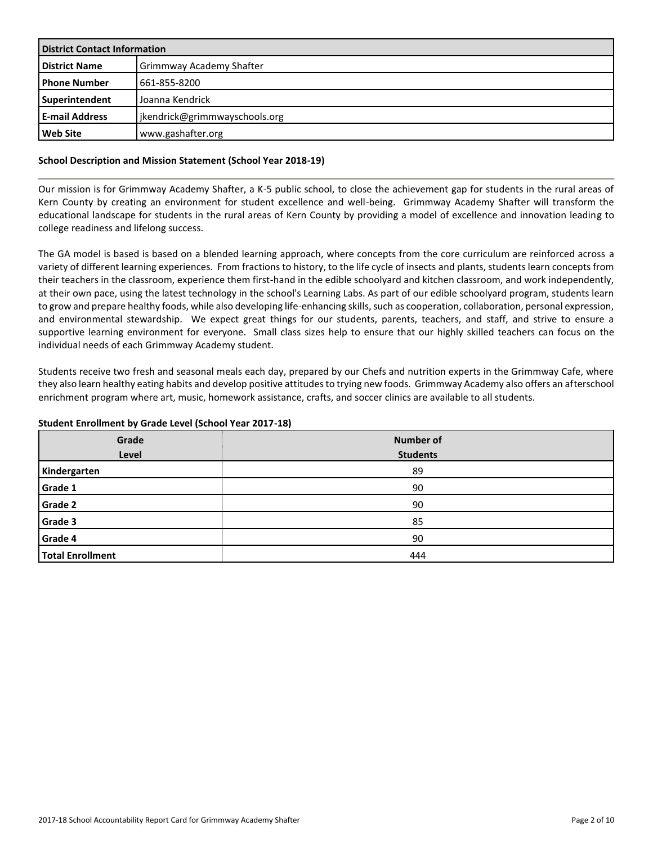| <b>District Contact Information</b> |                                 |  |
|-------------------------------------|---------------------------------|--|
| <b>District Name</b>                | <b>Grimmway Academy Shafter</b> |  |
| l Phone Number                      | 661-855-8200                    |  |
| Superintendent                      | Joanna Kendrick                 |  |
| <b>E-mail Address</b>               | jkendrick@grimmwayschools.org   |  |
| <b>Web Site</b>                     | www.gashafter.org               |  |

#### **School Description and Mission Statement (School Year 2018-19)**

Our mission is for Grimmway Academy Shafter, a K-5 public school, to close the achievement gap for students in the rural areas of Kern County by creating an environment for student excellence and well-being. Grimmway Academy Shafter will transform the educational landscape for students in the rural areas of Kern County by providing a model of excellence and innovation leading to college readiness and lifelong success.

The GA model is based is based on a blended learning approach, where concepts from the core curriculum are reinforced across a variety of different learning experiences. From fractions to history, to the life cycle of insects and plants, students learn concepts from their teachers in the classroom, experience them first-hand in the edible schoolyard and kitchen classroom, and work independently, at their own pace, using the latest technology in the school's Learning Labs. As part of our edible schoolyard program, students learn to grow and prepare healthy foods, while also developing life-enhancing skills, such as cooperation, collaboration, personal expression, and environmental stewardship. We expect great things for our students, parents, teachers, and staff, and strive to ensure a supportive learning environment for everyone. Small class sizes help to ensure that our highly skilled teachers can focus on the individual needs of each Grimmway Academy student.

Students receive two fresh and seasonal meals each day, prepared by our Chefs and nutrition experts in the Grimmway Cafe, where they also learn healthy eating habits and develop positive attitudes to trying new foods. Grimmway Academy also offers an afterschool enrichment program where art, music, homework assistance, crafts, and soccer clinics are available to all students.

#### **Student Enrollment by Grade Level (School Year 2017-18)**

| Grade<br>Level          | <b>Number of</b><br><b>Students</b> |
|-------------------------|-------------------------------------|
| Kindergarten            | 89                                  |
| Grade 1                 | 90                                  |
| Grade 2                 | 90                                  |
| Grade 3                 | 85                                  |
| Grade 4                 | 90                                  |
| <b>Total Enrollment</b> | 444                                 |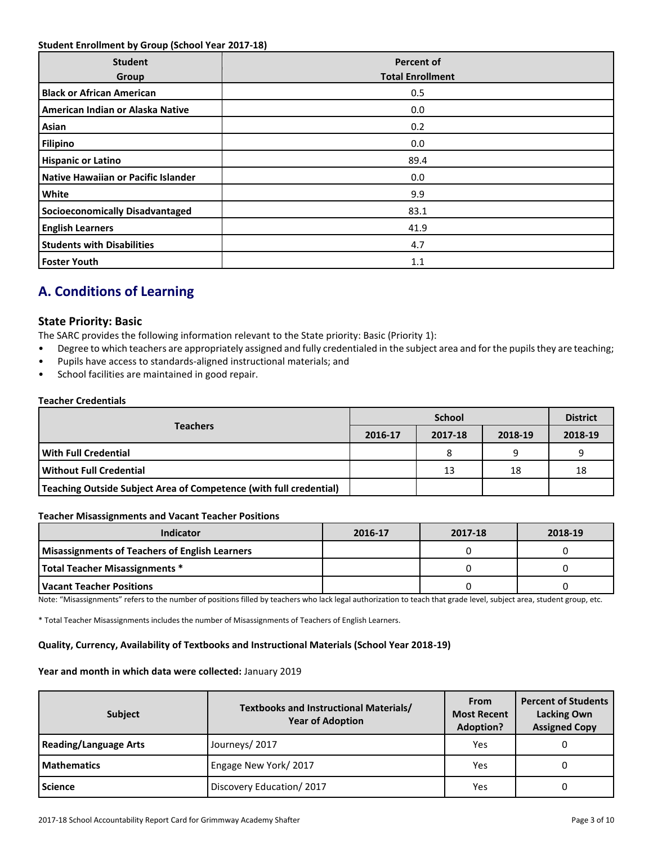#### **Student Enrollment by Group (School Year 2017-18)**

| <b>Student</b><br>Group                | <b>Percent of</b><br><b>Total Enrollment</b> |
|----------------------------------------|----------------------------------------------|
| <b>Black or African American</b>       | 0.5                                          |
| American Indian or Alaska Native       | 0.0                                          |
| Asian                                  | 0.2                                          |
| <b>Filipino</b>                        | 0.0                                          |
| <b>Hispanic or Latino</b>              | 89.4                                         |
| Native Hawaiian or Pacific Islander    | 0.0                                          |
| White                                  | 9.9                                          |
| <b>Socioeconomically Disadvantaged</b> | 83.1                                         |
| <b>English Learners</b>                | 41.9                                         |
| <b>Students with Disabilities</b>      | 4.7                                          |
| <b>Foster Youth</b>                    | 1.1                                          |

# **A. Conditions of Learning**

### **State Priority: Basic**

The SARC provides the following information relevant to the State priority: Basic (Priority 1):

- Degree to which teachers are appropriately assigned and fully credentialed in the subject area and for the pupils they are teaching;
- Pupils have access to standards-aligned instructional materials; and
- School facilities are maintained in good repair.

#### **Teacher Credentials**

|                                                                    | <b>School</b> |         |         | <b>District</b> |
|--------------------------------------------------------------------|---------------|---------|---------|-----------------|
| <b>Teachers</b>                                                    | 2016-17       | 2017-18 | 2018-19 | 2018-19         |
| With Full Credential                                               |               |         | a       |                 |
| Without Full Credential                                            |               | 13      | 18      | 18              |
| Teaching Outside Subject Area of Competence (with full credential) |               |         |         |                 |

#### **Teacher Misassignments and Vacant Teacher Positions**

| <b>Indicator</b>                                      | 2016-17 | 2017-18 | 2018-19 |
|-------------------------------------------------------|---------|---------|---------|
| <b>Misassignments of Teachers of English Learners</b> |         |         |         |
| <b>Total Teacher Misassignments *</b>                 |         |         |         |
| Vacant Teacher Positions                              |         |         |         |

Note: "Misassignments" refers to the number of positions filled by teachers who lack legal authorization to teach that grade level, subject area, student group, etc.

\* Total Teacher Misassignments includes the number of Misassignments of Teachers of English Learners.

#### **Quality, Currency, Availability of Textbooks and Instructional Materials (School Year 2018-19)**

#### **Year and month in which data were collected:** January 2019

| <b>Subject</b>               | <b>Textbooks and Instructional Materials/</b><br><b>Year of Adoption</b> | <b>From</b><br><b>Most Recent</b><br><b>Adoption?</b> | <b>Percent of Students</b><br><b>Lacking Own</b><br><b>Assigned Copy</b> |
|------------------------------|--------------------------------------------------------------------------|-------------------------------------------------------|--------------------------------------------------------------------------|
| <b>Reading/Language Arts</b> | Journeys/2017                                                            | Yes                                                   |                                                                          |
| <b>Mathematics</b>           | Engage New York/2017                                                     | Yes                                                   |                                                                          |
| <b>Science</b>               | Discovery Education/2017                                                 | Yes                                                   |                                                                          |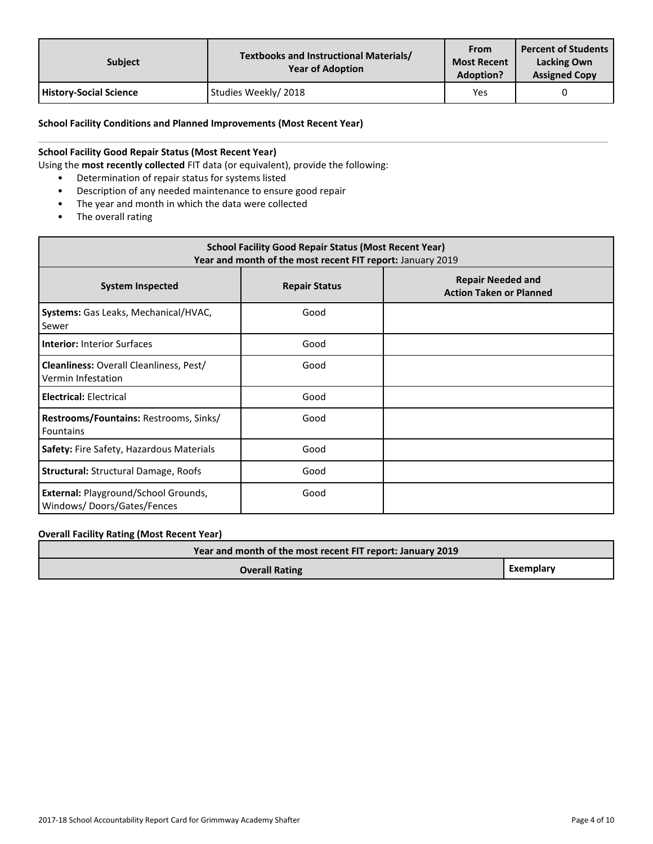| <b>Subject</b>                | Textbooks and Instructional Materials/<br><b>Year of Adoption</b> | From<br><b>Most Recent</b><br><b>Adoption?</b> | <b>Percent of Students</b><br><b>Lacking Own</b><br><b>Assigned Copy</b> |
|-------------------------------|-------------------------------------------------------------------|------------------------------------------------|--------------------------------------------------------------------------|
| <b>History-Social Science</b> | Studies Weekly/2018                                               | Yes                                            |                                                                          |

#### **School Facility Conditions and Planned Improvements (Most Recent Year)**

### **School Facility Good Repair Status (Most Recent Year)**

Using the **most recently collected** FIT data (or equivalent), provide the following:

- Determination of repair status for systems listed
- Description of any needed maintenance to ensure good repair
- The year and month in which the data were collected
- The overall rating

| <b>School Facility Good Repair Status (Most Recent Year)</b><br>Year and month of the most recent FIT report: January 2019 |                      |                                                            |  |  |  |
|----------------------------------------------------------------------------------------------------------------------------|----------------------|------------------------------------------------------------|--|--|--|
| <b>System Inspected</b>                                                                                                    | <b>Repair Status</b> | <b>Repair Needed and</b><br><b>Action Taken or Planned</b> |  |  |  |
| Systems: Gas Leaks, Mechanical/HVAC,<br>Sewer                                                                              | Good                 |                                                            |  |  |  |
| <b>Interior: Interior Surfaces</b>                                                                                         | Good                 |                                                            |  |  |  |
| <b>Cleanliness:</b> Overall Cleanliness, Pest/<br>Vermin Infestation                                                       | Good                 |                                                            |  |  |  |
| <b>Electrical: Electrical</b>                                                                                              | Good                 |                                                            |  |  |  |
| Restrooms/Fountains: Restrooms, Sinks/<br><b>Fountains</b>                                                                 | Good                 |                                                            |  |  |  |
| Safety: Fire Safety, Hazardous Materials                                                                                   | Good                 |                                                            |  |  |  |
| <b>Structural: Structural Damage, Roofs</b>                                                                                | Good                 |                                                            |  |  |  |
| External: Playground/School Grounds,<br>Windows/Doors/Gates/Fences                                                         | Good                 |                                                            |  |  |  |

### **Overall Facility Rating (Most Recent Year)**

| Year and month of the most recent FIT report: January 2019 |           |
|------------------------------------------------------------|-----------|
| <b>Overall Rating</b>                                      | Exemplary |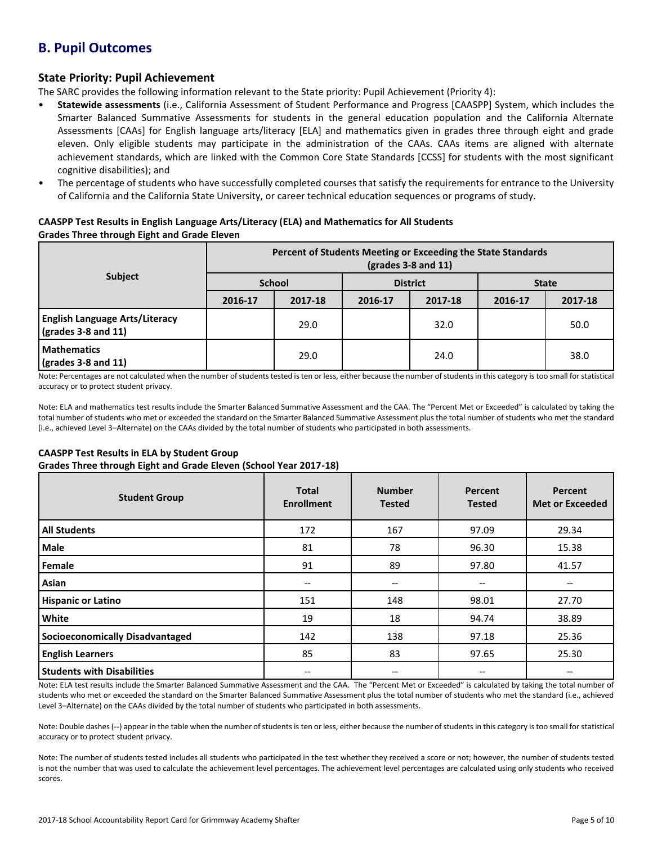# **B. Pupil Outcomes**

# **State Priority: Pupil Achievement**

The SARC provides the following information relevant to the State priority: Pupil Achievement (Priority 4):

- **Statewide assessments** (i.e., California Assessment of Student Performance and Progress [CAASPP] System, which includes the Smarter Balanced Summative Assessments for students in the general education population and the California Alternate Assessments [CAAs] for English language arts/literacy [ELA] and mathematics given in grades three through eight and grade eleven. Only eligible students may participate in the administration of the CAAs. CAAs items are aligned with alternate achievement standards, which are linked with the Common Core State Standards [CCSS] for students with the most significant cognitive disabilities); and
- The percentage of students who have successfully completed courses that satisfy the requirements for entrance to the University of California and the California State University, or career technical education sequences or programs of study.

#### **CAASPP Test Results in English Language Arts/Literacy (ELA) and Mathematics for All Students Grades Three through Eight and Grade Eleven**

|                                                                      | Percent of Students Meeting or Exceeding the State Standards<br>$\left($ grades 3-8 and 11 $\right)$ |         |                 |         |              |         |
|----------------------------------------------------------------------|------------------------------------------------------------------------------------------------------|---------|-----------------|---------|--------------|---------|
| <b>Subject</b>                                                       | <b>School</b>                                                                                        |         | <b>District</b> |         | <b>State</b> |         |
|                                                                      | 2016-17                                                                                              | 2017-18 | 2016-17         | 2017-18 | 2016-17      | 2017-18 |
| <b>English Language Arts/Literacy</b><br>$\sqrt{grades}$ 3-8 and 11) |                                                                                                      | 29.0    |                 | 32.0    |              | 50.0    |
| <b>Mathematics</b><br>$\sqrt{grades}$ 3-8 and 11)                    |                                                                                                      | 29.0    |                 | 24.0    |              | 38.0    |

Note: Percentages are not calculated when the number of students tested is ten or less, either because the number of students in this category is too small for statistical accuracy or to protect student privacy.

Note: ELA and mathematics test results include the Smarter Balanced Summative Assessment and the CAA. The "Percent Met or Exceeded" is calculated by taking the total number of students who met or exceeded the standard on the Smarter Balanced Summative Assessment plus the total number of students who met the standard (i.e., achieved Level 3–Alternate) on the CAAs divided by the total number of students who participated in both assessments.

## **CAASPP Test Results in ELA by Student Group**

**Grades Three through Eight and Grade Eleven (School Year 2017-18)**

| <b>Student Group</b>                   | <b>Total</b><br><b>Enrollment</b> | <b>Number</b><br><b>Tested</b>        | Percent<br><b>Tested</b> | Percent<br><b>Met or Exceeded</b> |
|----------------------------------------|-----------------------------------|---------------------------------------|--------------------------|-----------------------------------|
| <b>All Students</b>                    | 172                               | 167                                   | 97.09                    | 29.34                             |
| <b>Male</b>                            | 81                                | 78                                    | 96.30                    | 15.38                             |
| Female                                 | 91                                | 89                                    | 97.80                    | 41.57                             |
| Asian                                  | $- -$                             | $\hspace{0.05cm}$ – $\hspace{0.05cm}$ | --                       | --                                |
| <b>Hispanic or Latino</b>              | 151                               | 148                                   | 98.01                    | 27.70                             |
| White                                  | 19                                | 18                                    | 94.74                    | 38.89                             |
| <b>Socioeconomically Disadvantaged</b> | 142                               | 138                                   | 97.18                    | 25.36                             |
| <b>English Learners</b>                | 85                                | 83                                    | 97.65                    | 25.30                             |
| <b>Students with Disabilities</b>      | --                                | $\hspace{0.05cm}$ – $\hspace{0.05cm}$ | --                       |                                   |

Note: ELA test results include the Smarter Balanced Summative Assessment and the CAA. The "Percent Met or Exceeded" is calculated by taking the total number of students who met or exceeded the standard on the Smarter Balanced Summative Assessment plus the total number of students who met the standard (i.e., achieved Level 3–Alternate) on the CAAs divided by the total number of students who participated in both assessments.

Note: Double dashes (--) appear in the table when the number of students is ten or less, either because the number of students in this category is too small for statistical accuracy or to protect student privacy.

Note: The number of students tested includes all students who participated in the test whether they received a score or not; however, the number of students tested is not the number that was used to calculate the achievement level percentages. The achievement level percentages are calculated using only students who received scores.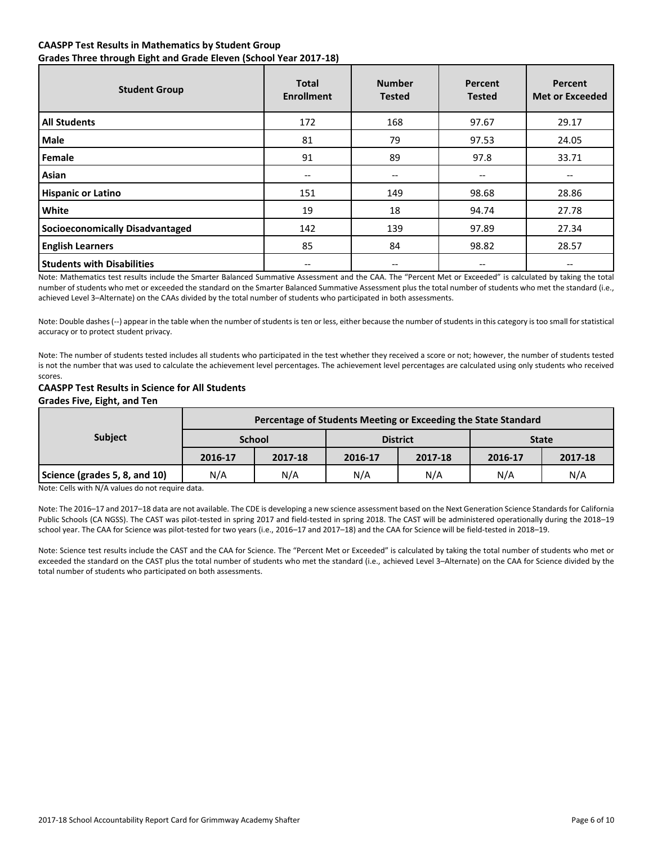#### **CAASPP Test Results in Mathematics by Student Group Grades Three through Eight and Grade Eleven (School Year 2017-18)**

| <b>Student Group</b>                   | <b>Total</b><br><b>Enrollment</b> | <b>Number</b><br><b>Tested</b>        | <b>Percent</b><br><b>Tested</b> | Percent<br><b>Met or Exceeded</b> |
|----------------------------------------|-----------------------------------|---------------------------------------|---------------------------------|-----------------------------------|
| <b>All Students</b>                    | 172                               | 168                                   | 97.67                           | 29.17                             |
| <b>Male</b>                            | 81                                | 79                                    | 97.53                           | 24.05                             |
| Female                                 | 91                                | 89                                    | 97.8                            | 33.71                             |
| Asian                                  | --                                | $\hspace{0.05cm}$ – $\hspace{0.05cm}$ | --                              | --                                |
| <b>Hispanic or Latino</b>              | 151                               | 149                                   | 98.68                           | 28.86                             |
| White                                  | 19                                | 18                                    | 94.74                           | 27.78                             |
| <b>Socioeconomically Disadvantaged</b> | 142                               | 139                                   | 97.89                           | 27.34                             |
| <b>English Learners</b>                | 85                                | 84                                    | 98.82                           | 28.57                             |
| <b>Students with Disabilities</b>      |                                   |                                       |                                 |                                   |

Note: Mathematics test results include the Smarter Balanced Summative Assessment and the CAA. The "Percent Met or Exceeded" is calculated by taking the total number of students who met or exceeded the standard on the Smarter Balanced Summative Assessment plus the total number of students who met the standard (i.e., achieved Level 3–Alternate) on the CAAs divided by the total number of students who participated in both assessments.

Note: Double dashes (--) appear in the table when the number of students is ten or less, either because the number of students in this category is too small for statistical accuracy or to protect student privacy.

Note: The number of students tested includes all students who participated in the test whether they received a score or not; however, the number of students tested is not the number that was used to calculate the achievement level percentages. The achievement level percentages are calculated using only students who received scores.

### **CAASPP Test Results in Science for All Students**

**Grades Five, Eight, and Ten**

|                               | Percentage of Students Meeting or Exceeding the State Standard |         |         |                 |              |         |  |
|-------------------------------|----------------------------------------------------------------|---------|---------|-----------------|--------------|---------|--|
| <b>Subject</b>                | <b>School</b>                                                  |         |         | <b>District</b> | <b>State</b> |         |  |
|                               | 2016-17                                                        | 2017-18 | 2016-17 | 2017-18         | 2016-17      | 2017-18 |  |
| Science (grades 5, 8, and 10) | N/A                                                            | N/A     | N/A     | N/A             | N/A          | N/A     |  |

Note: Cells with N/A values do not require data.

Note: The 2016–17 and 2017–18 data are not available. The CDE is developing a new science assessment based on the Next Generation Science Standards for California Public Schools (CA NGSS). The CAST was pilot-tested in spring 2017 and field-tested in spring 2018. The CAST will be administered operationally during the 2018–19 school year. The CAA for Science was pilot-tested for two years (i.e., 2016–17 and 2017–18) and the CAA for Science will be field-tested in 2018–19.

Note: Science test results include the CAST and the CAA for Science. The "Percent Met or Exceeded" is calculated by taking the total number of students who met or exceeded the standard on the CAST plus the total number of students who met the standard (i.e., achieved Level 3–Alternate) on the CAA for Science divided by the total number of students who participated on both assessments.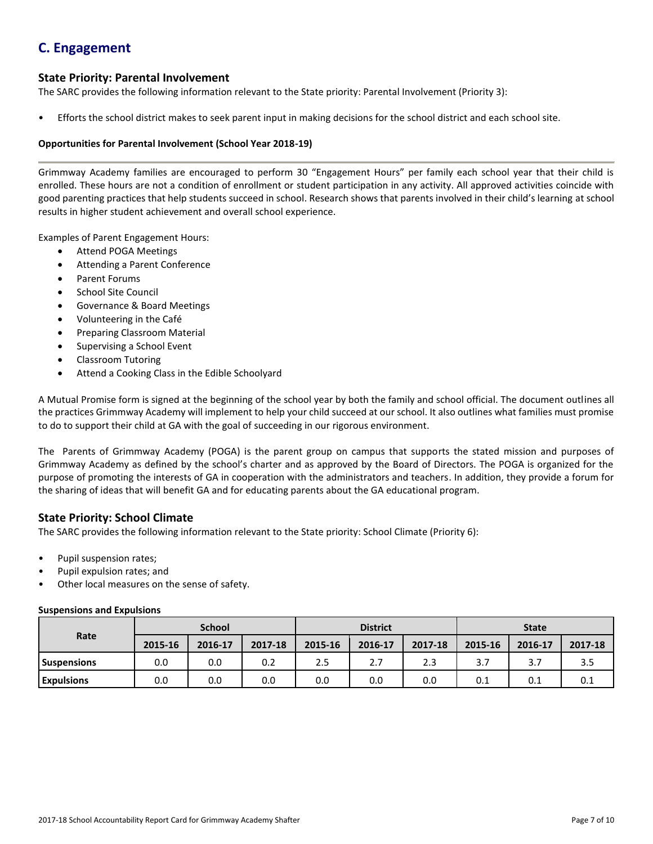# **C. Engagement**

# **State Priority: Parental Involvement**

The SARC provides the following information relevant to the State priority: Parental Involvement (Priority 3):

• Efforts the school district makes to seek parent input in making decisions for the school district and each school site.

#### **Opportunities for Parental Involvement (School Year 2018-19)**

Grimmway Academy families are encouraged to perform 30 "Engagement Hours" per family each school year that their child is enrolled. These hours are not a condition of enrollment or student participation in any activity. All approved activities coincide with good parenting practices that help students succeed in school. Research shows that parents involved in their child's learning at school results in higher student achievement and overall school experience.

Examples of Parent Engagement Hours:

- Attend POGA Meetings
- Attending a Parent Conference
- Parent Forums
- School Site Council
- Governance & Board Meetings
- Volunteering in the Café
- Preparing Classroom Material
- Supervising a School Event
- Classroom Tutoring
- Attend a Cooking Class in the Edible Schoolyard

A Mutual Promise form is signed at the beginning of the school year by both the family and school official. The document outlines all the practices Grimmway Academy will implement to help your child succeed at our school. It also outlines what families must promise to do to support their child at GA with the goal of succeeding in our rigorous environment.

The Parents of Grimmway Academy (POGA) is the parent group on campus that supports the stated mission and purposes of Grimmway Academy as defined by the school's charter and as approved by the Board of Directors. The POGA is organized for the purpose of promoting the interests of GA in cooperation with the administrators and teachers. In addition, they provide a forum for the sharing of ideas that will benefit GA and for educating parents about the GA educational program.

## **State Priority: School Climate**

The SARC provides the following information relevant to the State priority: School Climate (Priority 6):

- Pupil suspension rates;
- Pupil expulsion rates; and
- Other local measures on the sense of safety.

#### **Suspensions and Expulsions**

|                    | <b>School</b> |         |         | <b>District</b> |         |         | <b>State</b> |         |         |
|--------------------|---------------|---------|---------|-----------------|---------|---------|--------------|---------|---------|
| Rate               | 2015-16       | 2016-17 | 2017-18 | 2015-16         | 2016-17 | 2017-18 | 2015-16      | 2016-17 | 2017-18 |
| <b>Suspensions</b> | 0.0           | 0.0     | 0.2     | 2.5             | 2.7     | 2.3     | 3.7          |         | 3.5     |
| <b>Expulsions</b>  | 0.0           | 0.0     | 0.0     | 0.0             | 0.0     | 0.0     | 0.1          | 0.1     | 0.1     |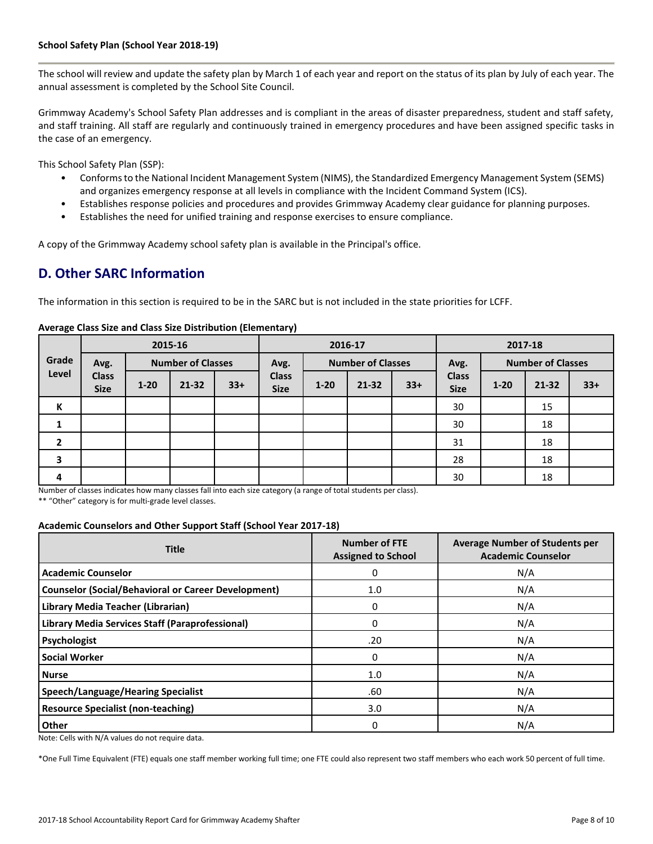The school will review and update the safety plan by March 1 of each year and report on the status of its plan by July of each year. The annual assessment is completed by the School Site Council.

Grimmway Academy's School Safety Plan addresses and is compliant in the areas of disaster preparedness, student and staff safety, and staff training. All staff are regularly and continuously trained in emergency procedures and have been assigned specific tasks in the case of an emergency.

This School Safety Plan (SSP):

- Conforms to the National Incident Management System (NIMS), the Standardized Emergency Management System (SEMS) and organizes emergency response at all levels in compliance with the Incident Command System (ICS).
- Establishes response policies and procedures and provides Grimmway Academy clear guidance for planning purposes.
- Establishes the need for unified training and response exercises to ensure compliance.

A copy of the Grimmway Academy school safety plan is available in the Principal's office.

# **D. Other SARC Information**

The information in this section is required to be in the SARC but is not included in the state priorities for LCFF.

|                |                             |          | 2015-16                  |       | 2016-17                     |                          |           | 2017-18                          |                             |          |           |       |
|----------------|-----------------------------|----------|--------------------------|-------|-----------------------------|--------------------------|-----------|----------------------------------|-----------------------------|----------|-----------|-------|
| Grade          | Avg.                        |          | <b>Number of Classes</b> |       | Avg.                        | <b>Number of Classes</b> |           | <b>Number of Classes</b><br>Avg. |                             |          |           |       |
| Level          | <b>Class</b><br><b>Size</b> | $1 - 20$ | $21 - 32$                | $33+$ | <b>Class</b><br><b>Size</b> | $1 - 20$                 | $21 - 32$ | $33+$                            | <b>Class</b><br><b>Size</b> | $1 - 20$ | $21 - 32$ | $33+$ |
| К              |                             |          |                          |       |                             |                          |           |                                  | 30                          |          | 15        |       |
|                |                             |          |                          |       |                             |                          |           |                                  | 30                          |          | 18        |       |
| $\overline{2}$ |                             |          |                          |       |                             |                          |           |                                  | 31                          |          | 18        |       |
| 3              |                             |          |                          |       |                             |                          |           |                                  | 28                          |          | 18        |       |
| 4              |                             |          |                          |       |                             |                          |           |                                  | 30                          |          | 18        |       |

#### **Average Class Size and Class Size Distribution (Elementary)**

Number of classes indicates how many classes fall into each size category (a range of total students per class).

\*\* "Other" category is for multi-grade level classes.

#### **Academic Counselors and Other Support Staff (School Year 2017-18)**

| <b>Title</b>                                               | <b>Number of FTE</b><br><b>Assigned to School</b> | <b>Average Number of Students per</b><br><b>Academic Counselor</b> |
|------------------------------------------------------------|---------------------------------------------------|--------------------------------------------------------------------|
| <b>Academic Counselor</b>                                  | 0                                                 | N/A                                                                |
| <b>Counselor (Social/Behavioral or Career Development)</b> | 1.0                                               | N/A                                                                |
| Library Media Teacher (Librarian)                          | 0                                                 | N/A                                                                |
| <b>Library Media Services Staff (Paraprofessional)</b>     | 0                                                 | N/A                                                                |
| Psychologist                                               | .20                                               | N/A                                                                |
| <b>Social Worker</b>                                       | 0                                                 | N/A                                                                |
| <b>Nurse</b>                                               | 1.0                                               | N/A                                                                |
| <b>Speech/Language/Hearing Specialist</b>                  | .60                                               | N/A                                                                |
| <b>Resource Specialist (non-teaching)</b>                  | 3.0                                               | N/A                                                                |
| <b>Other</b>                                               | 0                                                 | N/A                                                                |

Note: Cells with N/A values do not require data.

\*One Full Time Equivalent (FTE) equals one staff member working full time; one FTE could also represent two staff members who each work 50 percent of full time.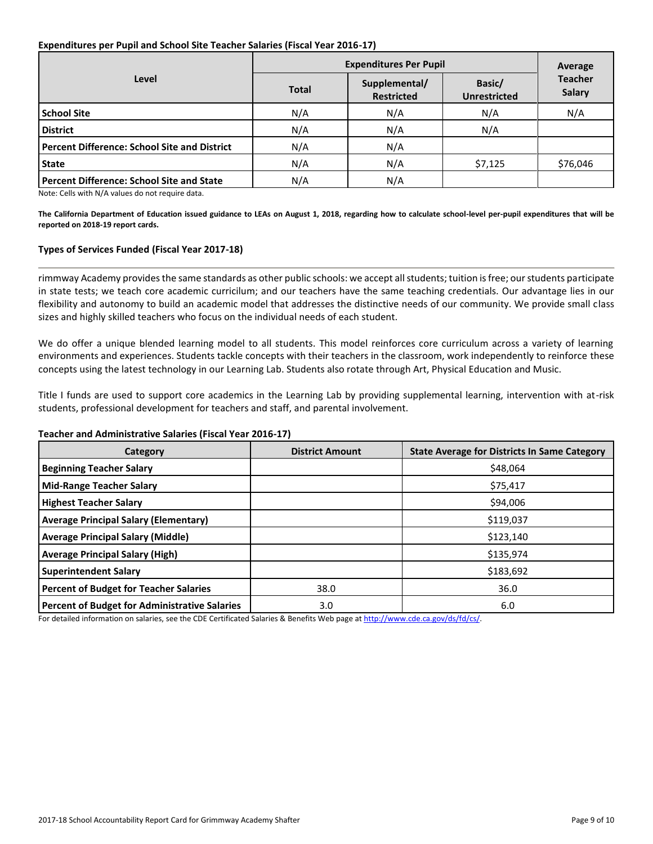#### **Expenditures per Pupil and School Site Teacher Salaries (Fiscal Year 2016-17)**

|                                                     | <b>Expenditures Per Pupil</b> | Average                            |                               |                                 |  |
|-----------------------------------------------------|-------------------------------|------------------------------------|-------------------------------|---------------------------------|--|
| Level                                               | <b>Total</b>                  | Supplemental/<br><b>Restricted</b> | Basic/<br><b>Unrestricted</b> | <b>Teacher</b><br><b>Salary</b> |  |
| <b>School Site</b>                                  | N/A                           | N/A                                | N/A                           | N/A                             |  |
| <b>District</b>                                     | N/A                           | N/A                                | N/A                           |                                 |  |
| <b>Percent Difference: School Site and District</b> | N/A                           | N/A                                |                               |                                 |  |
| <b>State</b>                                        | N/A                           | N/A                                | \$7,125                       | \$76,046                        |  |
| <b>Percent Difference: School Site and State</b>    | N/A                           | N/A                                |                               |                                 |  |

Note: Cells with N/A values do not require data.

**The California Department of Education issued guidance to LEAs on August 1, 2018, regarding how to calculate school-level per-pupil expenditures that will be reported on 2018-19 report cards.**

#### **Types of Services Funded (Fiscal Year 2017-18)**

rimmway Academy provides the same standards as other public schools: we accept all students; tuition is free; our students participate in state tests; we teach core academic curricilum; and our teachers have the same teaching credentials. Our advantage lies in our flexibility and autonomy to build an academic model that addresses the distinctive needs of our community. We provide small class sizes and highly skilled teachers who focus on the individual needs of each student.

We do offer a unique blended learning model to all students. This model reinforces core curriculum across a variety of learning environments and experiences. Students tackle concepts with their teachers in the classroom, work independently to reinforce these concepts using the latest technology in our Learning Lab. Students also rotate through Art, Physical Education and Music.

Title I funds are used to support core academics in the Learning Lab by providing supplemental learning, intervention with at-risk students, professional development for teachers and staff, and parental involvement.

#### **Teacher and Administrative Salaries (Fiscal Year 2016-17)**

| Category                                             | <b>District Amount</b> | <b>State Average for Districts In Same Category</b> |
|------------------------------------------------------|------------------------|-----------------------------------------------------|
| <b>Beginning Teacher Salary</b>                      |                        | \$48.064                                            |
| <b>Mid-Range Teacher Salary</b>                      |                        | \$75,417                                            |
| <b>Highest Teacher Salary</b>                        |                        | \$94,006                                            |
| <b>Average Principal Salary (Elementary)</b>         |                        | \$119,037                                           |
| <b>Average Principal Salary (Middle)</b>             |                        | \$123,140                                           |
| <b>Average Principal Salary (High)</b>               |                        | \$135,974                                           |
| <b>Superintendent Salary</b>                         |                        | \$183,692                                           |
| <b>Percent of Budget for Teacher Salaries</b>        | 38.0                   | 36.0                                                |
| <b>Percent of Budget for Administrative Salaries</b> | 3.0                    | 6.0                                                 |

For detailed information on salaries, see the CDE Certificated Salaries & Benefits Web page a[t http://www.cde.ca.gov/ds/fd/cs/.](http://www.cde.ca.gov/ds/fd/cs/)